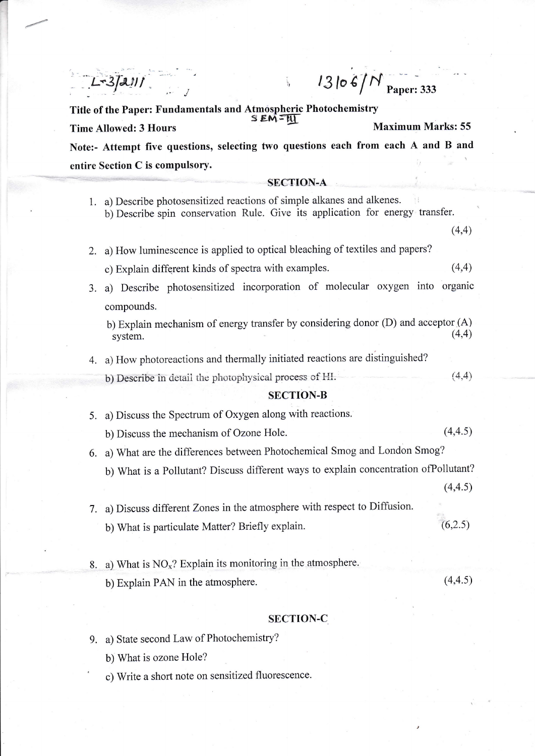$43106/\text{N}_{\text{Paper: }333}$ 

Title of the Paper: Fundamentals and Atmospheric Photochemistry  $SEM = H$ Time Allowed: 3 Hours - Maximum Marks: 55 Note:- Attempt five questions, selecting two questions each from each A and B and entire Section C is compulsory.

## **SECTION-A**

|    | 1. a) Describe photosensitized reactions of simple alkanes and alkenes.<br>b) Describe spin conservation Rule. Give its application for energy transfer. |          |  |
|----|----------------------------------------------------------------------------------------------------------------------------------------------------------|----------|--|
|    |                                                                                                                                                          | (4,4)    |  |
| 2. | a) How luminescence is applied to optical bleaching of textiles and papers?                                                                              |          |  |
|    | c) Explain different kinds of spectra with examples.                                                                                                     | (4,4)    |  |
| 3. | a) Describe photosensitized incorporation of molecular oxygen into organic                                                                               |          |  |
|    | compounds.                                                                                                                                               |          |  |
|    | b) Explain mechanism of energy transfer by considering donor (D) and acceptor (A)<br>system.                                                             | (4,4)    |  |
|    | 4. a) How photoreactions and thermally initiated reactions are distinguished?                                                                            |          |  |
|    | b) Describe in detail the photophysical process of HI.                                                                                                   | (4,4)    |  |
|    | <b>SECTION-B</b>                                                                                                                                         |          |  |
| 5. | a) Discuss the Spectrum of Oxygen along with reactions.                                                                                                  |          |  |
|    | b) Discuss the mechanism of Ozone Hole.                                                                                                                  | (4, 4.5) |  |
|    | 6. a) What are the differences between Photochemical Smog and London Smog?                                                                               |          |  |
|    | b) What is a Pollutant? Discuss different ways to explain concentration of Pollutant?                                                                    |          |  |
|    |                                                                                                                                                          | (4, 4.5) |  |
|    | 7. a) Discuss different Zones in the atmosphere with respect to Diffusion.                                                                               |          |  |
|    | b) What is particulate Matter? Briefly explain.                                                                                                          | (6,2.5)  |  |
|    |                                                                                                                                                          |          |  |
| 8. | a) What is $NOx$ ? Explain its monitoring in the atmosphere.                                                                                             |          |  |
|    | b) Explain PAN in the atmosphere.                                                                                                                        | (4, 4.5) |  |
|    |                                                                                                                                                          |          |  |

## SECTION-C

9. a) State second Law of Photochemistry?

b) What is ozone Hole?

c) Write a short note on sensitized fluorescence.